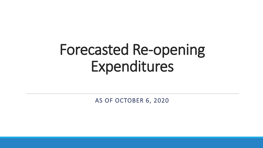# Forecasted Re-opening Expenditures

AS OF OCTOBER 6, 2020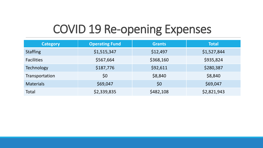### COVID 19 Re-opening Expenses

| <b>Category</b>   | <b>Operating Fund</b> | <b>Grants</b> | <b>Total</b> |
|-------------------|-----------------------|---------------|--------------|
| <b>Staffing</b>   | \$1,515,347           | \$12,497      | \$1,527,844  |
| <b>Facilities</b> | \$567,664             | \$368,160     | \$935,824    |
| <b>Technology</b> | \$187,776             | \$92,611      | \$280,387    |
| Transportation    | \$0                   | \$8,840       | \$8,840      |
| <b>Materials</b>  | \$69,047              | \$0           | \$69,047     |
| <b>Total</b>      | \$2,339,835           | \$482,108     | \$2,821,943  |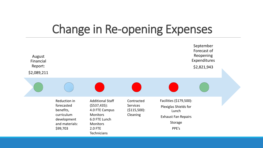#### Change in Re-opening Expenses

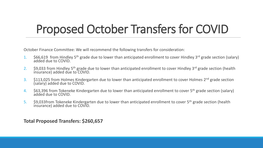## Proposed October Transfers for COVID

October Finance Committee: We will recommend the following transfers for consideration:

- 1. \$66,619 from Hindley 5<sup>th</sup> grade due to lower than anticipated enrollment to cover Hindley 3<sup>rd</sup> grade section (salary) added due to COVID.
- 2. \$9,033 from Hindley 5<sup>th</sup> grade due to lower than anticipated enrollment to cover Hindley 3<sup>rd</sup> grade section (health insurance) added due to COVID.
- 3. \$113,025 from Holmes Kindergarten due to lower than anticipated enrollment to cover Holmes 2<sup>nd</sup> grade section (salary) added due to COVID.
- 4. \$63,396 from Tokeneke Kindergarten due to lower than anticipated enrollment to cover 5<sup>th</sup> grade section (salary) added due to COVID.
- 5. \$9,033from Tokeneke Kindergarten due to lower than anticipated enrollment to cover 5<sup>th</sup> grade section (health insurance) added due to COVID.

**Total Proposed Transfers: \$260,657**